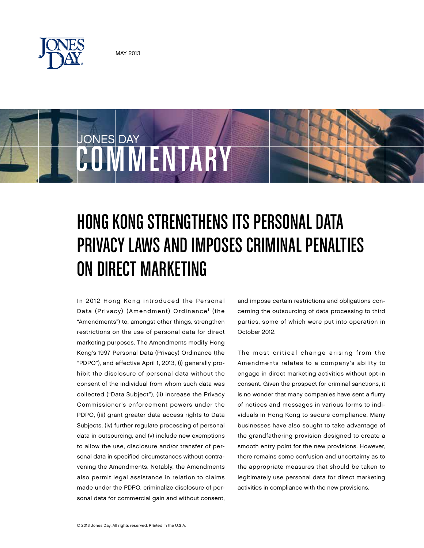

**COMMENTARY** 

JONES DAY

# Hong Kong Strengthens Its Personal Data Privacy Laws and Imposes Criminal Penalties on Direct Marketing

In 2012 Hong Kong introduced the Personal Data (Privacy) (Amendment) Ordinance<sup>1</sup> (the "Amendments") to, amongst other things, strengthen restrictions on the use of personal data for direct marketing purposes. The Amendments modify Hong Kong's 1997 Personal Data (Privacy) Ordinance (the "PDPO"), and effective April 1, 2013, (i) generally prohibit the disclosure of personal data without the consent of the individual from whom such data was collected ("Data Subject"), (ii) increase the Privacy Commissioner's enforcement powers under the PDPO, (iii) grant greater data access rights to Data Subjects, (iv) further regulate processing of personal data in outsourcing, and (v) include new exemptions to allow the use, disclosure and/or transfer of personal data in specified circumstances without contravening the Amendments. Notably, the Amendments also permit legal assistance in relation to claims made under the PDPO, criminalize disclosure of personal data for commercial gain and without consent,

and impose certain restrictions and obligations concerning the outsourcing of data processing to third parties, some of which were put into operation in October 2012.

The most critical change arising from the Amendments relates to a company's ability to engage in direct marketing activities without opt-in consent. Given the prospect for criminal sanctions, it is no wonder that many companies have sent a flurry of notices and messages in various forms to individuals in Hong Kong to secure compliance. Many businesses have also sought to take advantage of the grandfathering provision designed to create a smooth entry point for the new provisions. However, there remains some confusion and uncertainty as to the appropriate measures that should be taken to legitimately use personal data for direct marketing activities in compliance with the new provisions.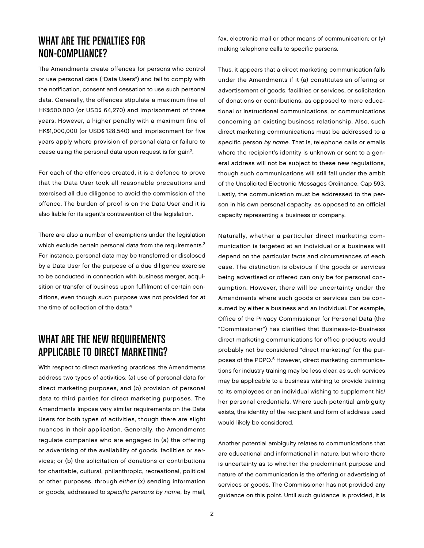### What are the Penalties for Non-Compliance?

The Amendments create offences for persons who control or use personal data ("Data Users") and fail to comply with the notification, consent and cessation to use such personal data. Generally, the offences stipulate a maximum fine of HK\$500,000 (or USD\$ 64,270) and imprisonment of three years. However, a higher penalty with a maximum fine of HK\$1,000,000 (or USD\$ 128,540) and imprisonment for five years apply where provision of personal data or failure to cease using the personal data upon request is for gain2.

For each of the offences created, it is a defence to prove that the Data User took all reasonable precautions and exercised all due diligence to avoid the commission of the offence. The burden of proof is on the Data User and it is also liable for its agent's contravention of the legislation.

There are also a number of exemptions under the legislation which exclude certain personal data from the requirements.<sup>3</sup> For instance, personal data may be transferred or disclosed by a Data User for the purpose of a due diligence exercise to be conducted in connection with business merger, acquisition or transfer of business upon fulfilment of certain conditions, even though such purpose was not provided for at the time of collection of the data.<sup>4</sup>

# WHAT ARE THE NEW REQUIREMENTS Applicable to Direct Marketing?

With respect to direct marketing practices, the Amendments address two types of activities: (a) use of personal data for direct marketing purposes, and (b) provision of personal data to third parties for direct marketing purposes. The Amendments impose very similar requirements on the Data Users for both types of activities, though there are slight nuances in their application. Generally, the Amendments regulate companies who are engaged in (a) the offering or advertising of the availability of goods, facilities or services; or (b) the solicitation of donations or contributions for charitable, cultural, philanthropic, recreational, political or other purposes, through either (x) sending information or goods, addressed to specific persons by name, by mail,

fax, electronic mail or other means of communication; or (y) making telephone calls to specific persons.

Thus, it appears that a direct marketing communication falls under the Amendments if it (a) constitutes an offering or advertisement of goods, facilities or services, or solicitation of donations or contributions, as opposed to mere educational or instructional communications, or communications concerning an existing business relationship. Also, such direct marketing communications must be addressed to a specific person by name. That is, telephone calls or emails where the recipient's identity is unknown or sent to a general address will not be subject to these new regulations, though such communications will still fall under the ambit of the Unsolicited Electronic Messages Ordinance, Cap 593. Lastly, the communication must be addressed to the person in his own personal capacity, as opposed to an official capacity representing a business or company.

Naturally, whether a particular direct marketing communication is targeted at an individual or a business will depend on the particular facts and circumstances of each case. The distinction is obvious if the goods or services being advertised or offered can only be for personal consumption. However, there will be uncertainty under the Amendments where such goods or services can be consumed by either a business and an individual. For example, Office of the Privacy Commissioner for Personal Data (the "Commissioner") has clarified that Business-to-Business direct marketing communications for office products would probably not be considered "direct marketing" for the purposes of the PDPO.<sup>5</sup> However, direct marketing communications for industry training may be less clear, as such services may be applicable to a business wishing to provide training to its employees or an individual wishing to supplement his/ her personal credentials. Where such potential ambiguity exists, the identity of the recipient and form of address used would likely be considered.

Another potential ambiguity relates to communications that are educational and informational in nature, but where there is uncertainty as to whether the predominant purpose and nature of the communication is the offering or advertising of services or goods. The Commissioner has not provided any guidance on this point. Until such guidance is provided, it is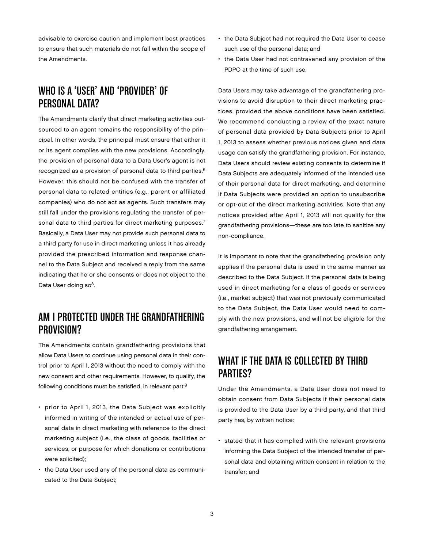advisable to exercise caution and implement best practices to ensure that such materials do not fall within the scope of the Amendments.

### Who is a 'User' and 'Provider' of Personal Data?

The Amendments clarify that direct marketing activities outsourced to an agent remains the responsibility of the principal. In other words, the principal must ensure that either it or its agent complies with the new provisions. Accordingly, the provision of personal data to a Data User's agent is not recognized as a provision of personal data to third parties.6 However, this should not be confused with the transfer of personal data to related entities (e.g., parent or affiliated companies) who do not act as agents. Such transfers may still fall under the provisions regulating the transfer of personal data to third parties for direct marketing purposes.<sup>7</sup> Basically, a Data User may not provide such personal data to a third party for use in direct marketing unless it has already provided the prescribed information and response channel to the Data Subject and received a reply from the same indicating that he or she consents or does not object to the Data User doing so<sup>8</sup>.

#### Am I Protected Under the Grandfathering Provision?

The Amendments contain grandfathering provisions that allow Data Users to continue using personal data in their control prior to April 1, 2013 without the need to comply with the new consent and other requirements. However, to qualify, the following conditions must be satisfied, in relevant part:<sup>9</sup>

- prior to April 1, 2013, the Data Subject was explicitly informed in writing of the intended or actual use of personal data in direct marketing with reference to the direct marketing subject (i.e., the class of goods, facilities or services, or purpose for which donations or contributions were solicited);
- the Data User used any of the personal data as communicated to the Data Subject;
- the Data Subject had not required the Data User to cease such use of the personal data; and
- the Data User had not contravened any provision of the PDPO at the time of such use.

Data Users may take advantage of the grandfathering provisions to avoid disruption to their direct marketing practices, provided the above conditions have been satisfied. We recommend conducting a review of the exact nature of personal data provided by Data Subjects prior to April 1, 2013 to assess whether previous notices given and data usage can satisfy the grandfathering provision. For instance, Data Users should review existing consents to determine if Data Subjects are adequately informed of the intended use of their personal data for direct marketing, and determine if Data Subjects were provided an option to unsubscribe or opt-out of the direct marketing activities. Note that any notices provided after April 1, 2013 will not qualify for the grandfathering provisions—these are too late to sanitize any non-compliance.

It is important to note that the grandfathering provision only applies if the personal data is used in the same manner as described to the Data Subject. If the personal data is being used in direct marketing for a class of goods or services (i.e., market subject) that was not previously communicated to the Data Subject, the Data User would need to comply with the new provisions, and will not be eligible for the grandfathering arrangement.

## WHAT IF THE DATA IS COLLECTED BY THIRD PARTIES?

Under the Amendments, a Data User does not need to obtain consent from Data Subjects if their personal data is provided to the Data User by a third party, and that third party has, by written notice:

• stated that it has complied with the relevant provisions informing the Data Subject of the intended transfer of personal data and obtaining written consent in relation to the transfer; and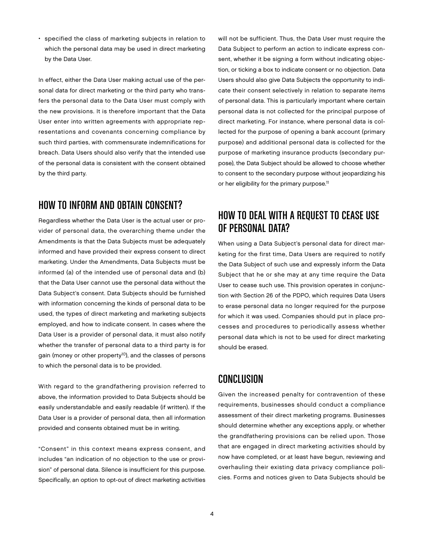• specified the class of marketing subjects in relation to which the personal data may be used in direct marketing by the Data User.

In effect, either the Data User making actual use of the personal data for direct marketing or the third party who transfers the personal data to the Data User must comply with the new provisions. It is therefore important that the Data User enter into written agreements with appropriate representations and covenants concerning compliance by such third parties, with commensurate indemnifications for breach. Data Users should also verify that the intended use of the personal data is consistent with the consent obtained by the third party.

#### How to Inform and Obtain Consent?

Regardless whether the Data User is the actual user or provider of personal data, the overarching theme under the Amendments is that the Data Subjects must be adequately informed and have provided their express consent to direct marketing. Under the Amendments, Data Subjects must be informed (a) of the intended use of personal data and (b) that the Data User cannot use the personal data without the Data Subject's consent. Data Subjects should be furnished with information concerning the kinds of personal data to be used, the types of direct marketing and marketing subjects employed, and how to indicate consent. In cases where the Data User is a provider of personal data, it must also notify whether the transfer of personal data to a third party is for gain (money or other property<sup>10</sup>), and the classes of persons to which the personal data is to be provided.

With regard to the grandfathering provision referred to above, the information provided to Data Subjects should be easily understandable and easily readable (if written). If the Data User is a provider of personal data, then all information provided and consents obtained must be in writing.

"Consent" in this context means express consent, and includes "an indication of no objection to the use or provision" of personal data. Silence is insufficient for this purpose. Specifically, an option to opt-out of direct marketing activities will not be sufficient. Thus, the Data User must require the Data Subject to perform an action to indicate express consent, whether it be signing a form without indicating objection, or ticking a box to indicate consent or no objection. Data Users should also give Data Subjects the opportunity to indicate their consent selectively in relation to separate items of personal data. This is particularly important where certain personal data is not collected for the principal purpose of direct marketing. For instance, where personal data is collected for the purpose of opening a bank account (primary purpose) and additional personal data is collected for the purpose of marketing insurance products (secondary purpose), the Data Subject should be allowed to choose whether to consent to the secondary purpose without jeopardizing his or her eligibility for the primary purpose.<sup>11</sup>

### HOW TO DEAL WITH A REQUEST TO CEASE USE of Personal Data?

When using a Data Subject's personal data for direct marketing for the first time, Data Users are required to notify the Data Subject of such use and expressly inform the Data Subject that he or she may at any time require the Data User to cease such use. This provision operates in conjunction with Section 26 of the PDPO, which requires Data Users to erase personal data no longer required for the purpose for which it was used. Companies should put in place processes and procedures to periodically assess whether personal data which is not to be used for direct marketing should be erased.

## Conclusion

Given the increased penalty for contravention of these requirements, businesses should conduct a compliance assessment of their direct marketing programs. Businesses should determine whether any exceptions apply, or whether the grandfathering provisions can be relied upon. Those that are engaged in direct marketing activities should by now have completed, or at least have begun, reviewing and overhauling their existing data privacy compliance policies. Forms and notices given to Data Subjects should be